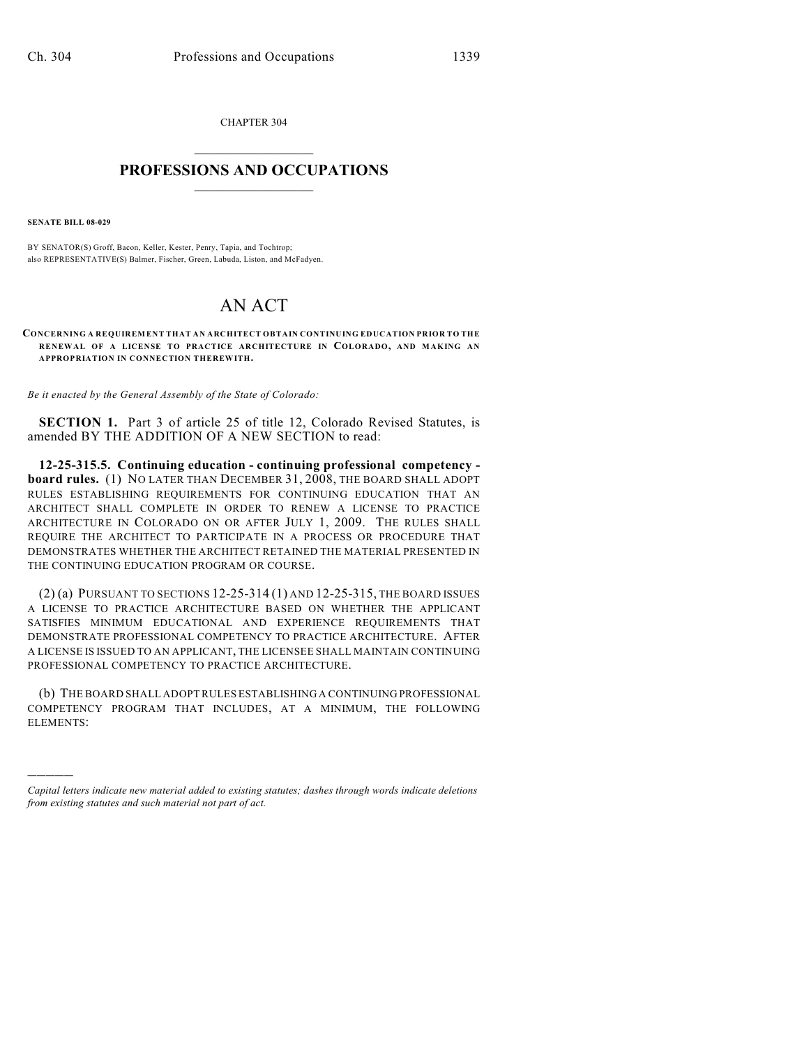CHAPTER 304  $\mathcal{L}_\text{max}$  . The set of the set of the set of the set of the set of the set of the set of the set of the set of the set of the set of the set of the set of the set of the set of the set of the set of the set of the set

## **PROFESSIONS AND OCCUPATIONS**  $\frac{1}{2}$  ,  $\frac{1}{2}$  ,  $\frac{1}{2}$  ,  $\frac{1}{2}$  ,  $\frac{1}{2}$  ,  $\frac{1}{2}$

**SENATE BILL 08-029**

)))))

BY SENATOR(S) Groff, Bacon, Keller, Kester, Penry, Tapia, and Tochtrop; also REPRESENTATIVE(S) Balmer, Fischer, Green, Labuda, Liston, and McFadyen.

## AN ACT

**CONCERNING A REQUIREMENT THAT AN ARCHITECT OBTAIN CONTINUING EDUCATION PRIOR TO THE RENEWAL OF A LICENSE TO PRACTICE ARCHITECTURE IN COLORADO, AND MAKING AN APPROPRIATION IN CONNECTION THEREWITH.**

*Be it enacted by the General Assembly of the State of Colorado:*

**SECTION 1.** Part 3 of article 25 of title 12, Colorado Revised Statutes, is amended BY THE ADDITION OF A NEW SECTION to read:

**12-25-315.5. Continuing education - continuing professional competency board rules.** (1) NO LATER THAN DECEMBER 31, 2008, THE BOARD SHALL ADOPT RULES ESTABLISHING REQUIREMENTS FOR CONTINUING EDUCATION THAT AN ARCHITECT SHALL COMPLETE IN ORDER TO RENEW A LICENSE TO PRACTICE ARCHITECTURE IN COLORADO ON OR AFTER JULY 1, 2009. THE RULES SHALL REQUIRE THE ARCHITECT TO PARTICIPATE IN A PROCESS OR PROCEDURE THAT DEMONSTRATES WHETHER THE ARCHITECT RETAINED THE MATERIAL PRESENTED IN THE CONTINUING EDUCATION PROGRAM OR COURSE.

(2) (a) PURSUANT TO SECTIONS 12-25-314 (1) AND 12-25-315, THE BOARD ISSUES A LICENSE TO PRACTICE ARCHITECTURE BASED ON WHETHER THE APPLICANT SATISFIES MINIMUM EDUCATIONAL AND EXPERIENCE REQUIREMENTS THAT DEMONSTRATE PROFESSIONAL COMPETENCY TO PRACTICE ARCHITECTURE. AFTER A LICENSE IS ISSUED TO AN APPLICANT, THE LICENSEE SHALL MAINTAIN CONTINUING PROFESSIONAL COMPETENCY TO PRACTICE ARCHITECTURE.

(b) THE BOARD SHALL ADOPT RULES ESTABLISHING A CONTINUING PROFESSIONAL COMPETENCY PROGRAM THAT INCLUDES, AT A MINIMUM, THE FOLLOWING ELEMENTS:

*Capital letters indicate new material added to existing statutes; dashes through words indicate deletions from existing statutes and such material not part of act.*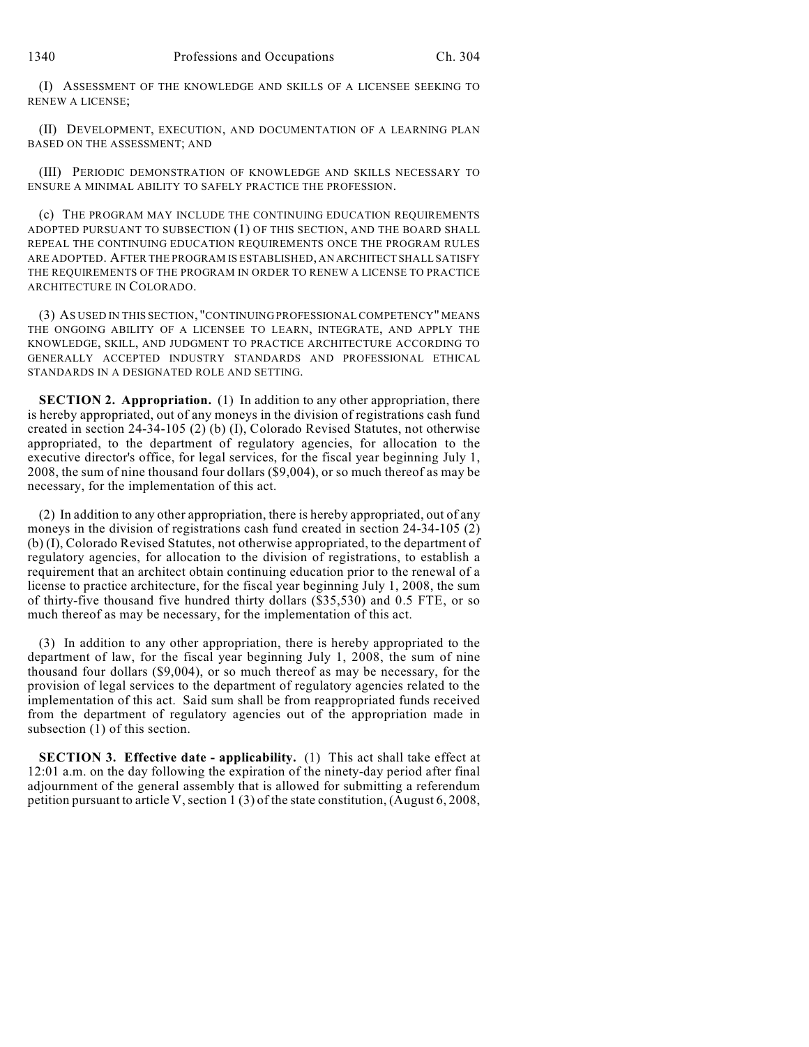(I) ASSESSMENT OF THE KNOWLEDGE AND SKILLS OF A LICENSEE SEEKING TO RENEW A LICENSE;

(II) DEVELOPMENT, EXECUTION, AND DOCUMENTATION OF A LEARNING PLAN BASED ON THE ASSESSMENT; AND

(III) PERIODIC DEMONSTRATION OF KNOWLEDGE AND SKILLS NECESSARY TO ENSURE A MINIMAL ABILITY TO SAFELY PRACTICE THE PROFESSION.

(c) THE PROGRAM MAY INCLUDE THE CONTINUING EDUCATION REQUIREMENTS ADOPTED PURSUANT TO SUBSECTION (1) OF THIS SECTION, AND THE BOARD SHALL REPEAL THE CONTINUING EDUCATION REQUIREMENTS ONCE THE PROGRAM RULES ARE ADOPTED. AFTER THE PROGRAM IS ESTABLISHED, AN ARCHITECT SHALL SATISFY THE REQUIREMENTS OF THE PROGRAM IN ORDER TO RENEW A LICENSE TO PRACTICE ARCHITECTURE IN COLORADO.

(3) AS USED IN THIS SECTION, "CONTINUING PROFESSIONAL COMPETENCY" MEANS THE ONGOING ABILITY OF A LICENSEE TO LEARN, INTEGRATE, AND APPLY THE KNOWLEDGE, SKILL, AND JUDGMENT TO PRACTICE ARCHITECTURE ACCORDING TO GENERALLY ACCEPTED INDUSTRY STANDARDS AND PROFESSIONAL ETHICAL STANDARDS IN A DESIGNATED ROLE AND SETTING.

**SECTION 2. Appropriation.** (1) In addition to any other appropriation, there is hereby appropriated, out of any moneys in the division of registrations cash fund created in section 24-34-105 (2) (b) (I), Colorado Revised Statutes, not otherwise appropriated, to the department of regulatory agencies, for allocation to the executive director's office, for legal services, for the fiscal year beginning July 1, 2008, the sum of nine thousand four dollars (\$9,004), or so much thereof as may be necessary, for the implementation of this act.

(2) In addition to any other appropriation, there is hereby appropriated, out of any moneys in the division of registrations cash fund created in section 24-34-105 (2) (b) (I), Colorado Revised Statutes, not otherwise appropriated, to the department of regulatory agencies, for allocation to the division of registrations, to establish a requirement that an architect obtain continuing education prior to the renewal of a license to practice architecture, for the fiscal year beginning July 1, 2008, the sum of thirty-five thousand five hundred thirty dollars (\$35,530) and 0.5 FTE, or so much thereof as may be necessary, for the implementation of this act.

(3) In addition to any other appropriation, there is hereby appropriated to the department of law, for the fiscal year beginning July 1, 2008, the sum of nine thousand four dollars (\$9,004), or so much thereof as may be necessary, for the provision of legal services to the department of regulatory agencies related to the implementation of this act. Said sum shall be from reappropriated funds received from the department of regulatory agencies out of the appropriation made in subsection (1) of this section.

**SECTION 3. Effective date - applicability.** (1) This act shall take effect at 12:01 a.m. on the day following the expiration of the ninety-day period after final adjournment of the general assembly that is allowed for submitting a referendum petition pursuant to article V, section 1 (3) of the state constitution, (August 6, 2008,